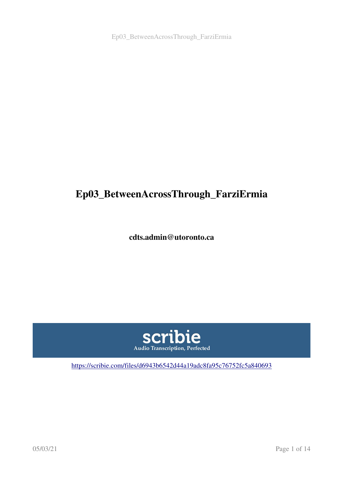Ep03\_BetweenAcrossThrough\_FarziErmia

# Ep03\_BetweenAcrossThrough\_FarziErmia

cdts.admin@utoronto.ca



<https://scribie.com/files/d6943b6542d44a19adc8fa95c76752fc5a840693>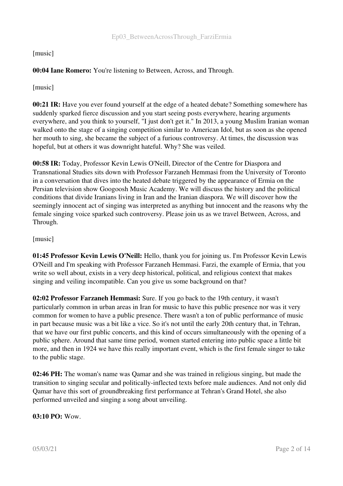#### [music]

# 00:04 Iane Romero: You're listening to Between, Across, and Through.

[music]

00:21 IR: Have you ever found yourself at the edge of a heated debate? Something somewhere has suddenly sparked fierce discussion and you start seeing posts everywhere, hearing arguments everywhere, and you think to yourself, "I just don't get it." In 2013, a young Muslim Iranian woman walked onto the stage of a singing competition similar to American Idol, but as soon as she opened her mouth to sing, she became the subject of a furious controversy. At times, the discussion was hopeful, but at others it was downright hateful. Why? She was veiled.

00:58 IR: Today, Professor Kevin Lewis O'Neill, Director of the Centre for Diaspora and Transnational Studies sits down with Professor Farzaneh Hemmasi from the University of Toronto in a conversation that dives into the heated debate triggered by the appearance of Ermia on the Persian television show Googoosh Music Academy. We will discuss the history and the political conditions that divide Iranians living in Iran and the Iranian diaspora. We will discover how the seemingly innocent act of singing was interpreted as anything but innocent and the reasons why the female singing voice sparked such controversy. Please join us as we travel Between, Across, and Through.

#### [music]

01:45 Professor Kevin Lewis O'Neill: Hello, thank you for joining us. I'm Professor Kevin Lewis O'Neill and I'm speaking with Professor Farzaneh Hemmasi. Farzi, the example of Ermia, that you write so well about, exists in a very deep historical, political, and religious context that makes singing and veiling incompatible. Can you give us some background on that?

02:02 Professor Farzaneh Hemmasi: Sure. If you go back to the 19th century, it wasn't particularly common in urban areas in Iran for music to have this public presence nor was it very common for women to have a public presence. There wasn't a ton of public performance of music in part because music was a bit like a vice. So it's not until the early 20th century that, in Tehran, that we have our first public concerts, and this kind of occurs simultaneously with the opening of a public sphere. Around that same time period, women started entering into public space a little bit more, and then in 1924 we have this really important event, which is the first female singer to take to the public stage.

02:46 PH: The woman's name was Qamar and she was trained in religious singing, but made the transition to singing secular and politically-inflected texts before male audiences. And not only did Qamar have this sort of groundbreaking first performance at Tehran's Grand Hotel, she also performed unveiled and singing a song about unveiling.

03:10 PO: Wow.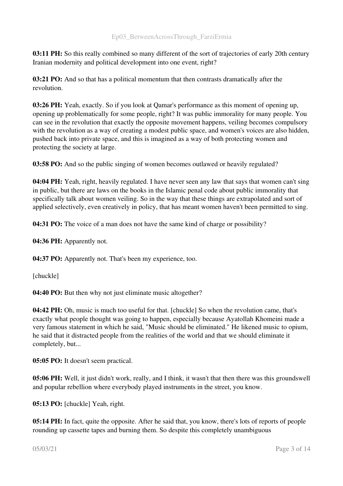03:11 PH: So this really combined so many different of the sort of trajectories of early 20th century Iranian modernity and political development into one event, right?

03:21 PO: And so that has a political momentum that then contrasts dramatically after the revolution.

03:26 PH: Yeah, exactly. So if you look at Qamar's performance as this moment of opening up, opening up problematically for some people, right? It was public immorality for many people. You can see in the revolution that exactly the opposite movement happens, veiling becomes compulsory with the revolution as a way of creating a modest public space, and women's voices are also hidden, pushed back into private space, and this is imagined as a way of both protecting women and protecting the society at large.

03:58 PO: And so the public singing of women becomes outlawed or heavily regulated?

04:04 PH: Yeah, right, heavily regulated. I have never seen any law that says that women can't sing in public, but there are laws on the books in the Islamic penal code about public immorality that specifically talk about women veiling. So in the way that these things are extrapolated and sort of applied selectively, even creatively in policy, that has meant women haven't been permitted to sing.

04:31 PO: The voice of a man does not have the same kind of charge or possibility?

04:36 PH: Apparently not.

04:37 PO: Apparently not. That's been my experience, too.

[chuckle]

04:40 PO: But then why not just eliminate music altogether?

04:42 PH: Oh, music is much too useful for that. [chuckle] So when the revolution came, that's exactly what people thought was going to happen, especially because Ayatollah Khomeini made a very famous statement in which he said, "Music should be eliminated." He likened music to opium, he said that it distracted people from the realities of the world and that we should eliminate it completely, but...

05:05 PO: It doesn't seem practical.

05:06 PH: Well, it just didn't work, really, and I think, it wasn't that then there was this groundswell and popular rebellion where everybody played instruments in the street, you know.

05:13 PO: [chuckle] Yeah, right.

05:14 PH: In fact, quite the opposite. After he said that, you know, there's lots of reports of people rounding up cassette tapes and burning them. So despite this completely unambiguous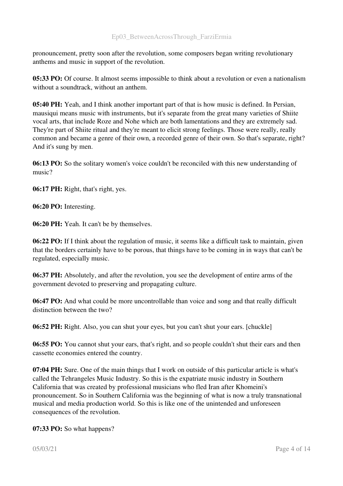pronouncement, pretty soon after the revolution, some composers began writing revolutionary anthems and music in support of the revolution.

05:33 PO: Of course. It almost seems impossible to think about a revolution or even a nationalism without a soundtrack, without an anthem.

05:40 PH: Yeah, and I think another important part of that is how music is defined. In Persian, mausiqui means music with instruments, but it's separate from the great many varieties of Shiite vocal arts, that include Roze and Nohe which are both lamentations and they are extremely sad. They're part of Shiite ritual and they're meant to elicit strong feelings. Those were really, really common and became a genre of their own, a recorded genre of their own. So that's separate, right? And it's sung by men.

06:13 PO: So the solitary women's voice couldn't be reconciled with this new understanding of music?

06:17 PH: Right, that's right, yes.

06:20 PO: Interesting.

06:20 PH: Yeah. It can't be by themselves.

06:22 PO: If I think about the regulation of music, it seems like a difficult task to maintain, given that the borders certainly have to be porous, that things have to be coming in in ways that can't be regulated, especially music.

06:37 PH: Absolutely, and after the revolution, you see the development of entire arms of the government devoted to preserving and propagating culture.

06:47 PO: And what could be more uncontrollable than voice and song and that really difficult distinction between the two?

06:52 PH: Right. Also, you can shut your eyes, but you can't shut your ears. [chuckle]

06:55 PO: You cannot shut your ears, that's right, and so people couldn't shut their ears and then cassette economies entered the country.

07:04 PH: Sure. One of the main things that I work on outside of this particular article is what's called the Tehrangeles Music Industry. So this is the expatriate music industry in Southern California that was created by professional musicians who fled Iran after Khomeini's pronouncement. So in Southern California was the beginning of what is now a truly transnational musical and media production world. So this is like one of the unintended and unforeseen consequences of the revolution.

07:33 PO: So what happens?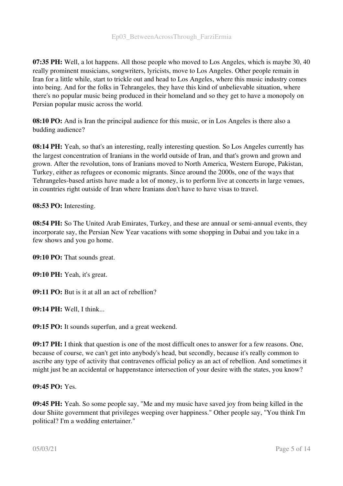07:35 PH: Well, a lot happens. All those people who moved to Los Angeles, which is maybe 30, 40 really prominent musicians, songwriters, lyricists, move to Los Angeles. Other people remain in Iran for a little while, start to trickle out and head to Los Angeles, where this music industry comes into being. And for the folks in Tehrangeles, they have this kind of unbelievable situation, where there's no popular music being produced in their homeland and so they get to have a monopoly on Persian popular music across the world.

08:10 PO: And is Iran the principal audience for this music, or in Los Angeles is there also a budding audience?

08:14 PH: Yeah, so that's an interesting, really interesting question. So Los Angeles currently has the largest concentration of Iranians in the world outside of Iran, and that's grown and grown and grown. After the revolution, tons of Iranians moved to North America, Western Europe, Pakistan, Turkey, either as refugees or economic migrants. Since around the 2000s, one of the ways that Tehrangeles-based artists have made a lot of money, is to perform live at concerts in large venues, in countries right outside of Iran where Iranians don't have to have visas to travel.

#### 08:53 PO: Interesting.

08:54 PH: So The United Arab Emirates, Turkey, and these are annual or semi-annual events, they incorporate say, the Persian New Year vacations with some shopping in Dubai and you take in a few shows and you go home.

09:10 PO: That sounds great.

09:10 PH: Yeah, it's great.

09:11 PO: But is it at all an act of rebellion?

09:14 PH: Well, I think...

09:15 PO: It sounds superfun, and a great weekend.

09:17 PH: I think that question is one of the most difficult ones to answer for a few reasons. One, because of course, we can't get into anybody's head, but secondly, because it's really common to ascribe any type of activity that contravenes official policy as an act of rebellion. And sometimes it might just be an accidental or happenstance intersection of your desire with the states, you know?

#### 09:45 PO: Yes.

09:45 PH: Yeah. So some people say, "Me and my music have saved joy from being killed in the dour Shiite government that privileges weeping over happiness." Other people say, "You think I'm political? I'm a wedding entertainer."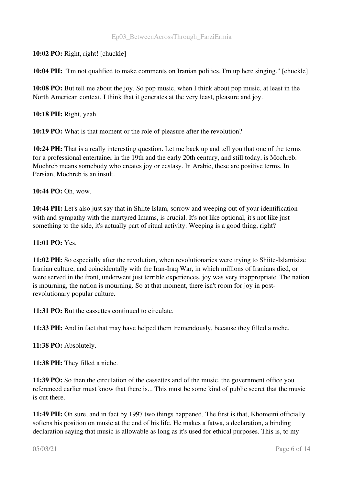10:02 PO: Right, right! [chuckle]

10:04 PH: "I'm not qualified to make comments on Iranian politics, I'm up here singing." [chuckle]

10:08 PO: But tell me about the joy. So pop music, when I think about pop music, at least in the North American context, I think that it generates at the very least, pleasure and joy.

10:18 PH: Right, yeah.

10:19 PO: What is that moment or the role of pleasure after the revolution?

10:24 PH: That is a really interesting question. Let me back up and tell you that one of the terms for a professional entertainer in the 19th and the early 20th century, and still today, is Mochreb. Mochreb means somebody who creates joy or ecstasy. In Arabic, these are positive terms. In Persian, Mochreb is an insult.

10:44 PO: Oh, wow.

10:44 PH: Let's also just say that in Shiite Islam, sorrow and weeping out of your identification with and sympathy with the martyred Imams, is crucial. It's not like optional, it's not like just something to the side, it's actually part of ritual activity. Weeping is a good thing, right?

#### 11:01 PO: Yes.

11:02 PH: So especially after the revolution, when revolutionaries were trying to Shiite-Islamisize Iranian culture, and coincidentally with the Iran-Iraq War, in which millions of Iranians died, or were served in the front, underwent just terrible experiences, joy was very inappropriate. The nation is mourning, the nation is mourning. So at that moment, there isn't room for joy in postrevolutionary popular culture.

11:31 PO: But the cassettes continued to circulate.

11:33 PH: And in fact that may have helped them tremendously, because they filled a niche.

11:38 PO: Absolutely.

11:38 PH: They filled a niche.

11:39 PO: So then the circulation of the cassettes and of the music, the government office you referenced earlier must know that there is... This must be some kind of public secret that the music is out there.

11:49 PH: Oh sure, and in fact by 1997 two things happened. The first is that, Khomeini officially softens his position on music at the end of his life. He makes a fatwa, a declaration, a binding declaration saying that music is allowable as long as it's used for ethical purposes. This is, to my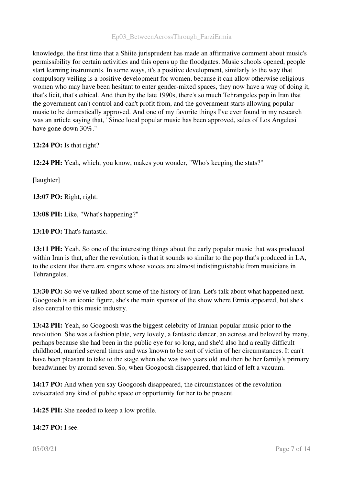# Ep03\_BetweenAcrossThrough\_FarziErmia

knowledge, the first time that a Shiite jurisprudent has made an affirmative comment about music's permissibility for certain activities and this opens up the floodgates. Music schools opened, people start learning instruments. In some ways, it's a positive development, similarly to the way that compulsory veiling is a positive development for women, because it can allow otherwise religious women who may have been hesitant to enter gender-mixed spaces, they now have a way of doing it, that's licit, that's ethical. And then by the late 1990s, there's so much Tehrangeles pop in Iran that the government can't control and can't profit from, and the government starts allowing popular music to be domestically approved. And one of my favorite things I've ever found in my research was an article saying that, "Since local popular music has been approved, sales of Los Angelesi have gone down 30%."

12:24 PO: Is that right?

12:24 PH: Yeah, which, you know, makes you wonder, "Who's keeping the stats?"

[laughter]

13:07 PO: Right, right.

13:08 PH: Like, "What's happening?"

13:10 PO: That's fantastic.

13:11 PH: Yeah. So one of the interesting things about the early popular music that was produced within Iran is that, after the revolution, is that it sounds so similar to the pop that's produced in LA, to the extent that there are singers whose voices are almost indistinguishable from musicians in Tehrangeles.

13:30 PO: So we've talked about some of the history of Iran. Let's talk about what happened next. Googoosh is an iconic figure, she's the main sponsor of the show where Ermia appeared, but she's also central to this music industry.

13:42 PH: Yeah, so Googoosh was the biggest celebrity of Iranian popular music prior to the revolution. She was a fashion plate, very lovely, a fantastic dancer, an actress and beloved by many, perhaps because she had been in the public eye for so long, and she'd also had a really difficult childhood, married several times and was known to be sort of victim of her circumstances. It can't have been pleasant to take to the stage when she was two years old and then be her family's primary breadwinner by around seven. So, when Googoosh disappeared, that kind of left a vacuum.

14:17 PO: And when you say Googoosh disappeared, the circumstances of the revolution eviscerated any kind of public space or opportunity for her to be present.

14:25 PH: She needed to keep a low profile.

14:27 PO: I see.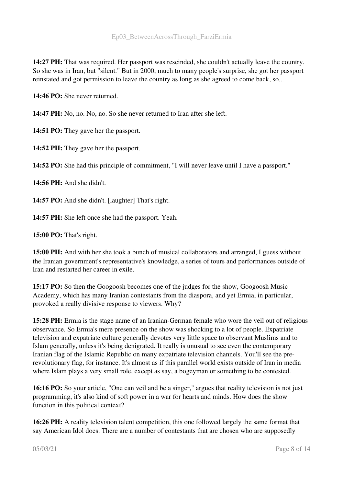14:27 PH: That was required. Her passport was rescinded, she couldn't actually leave the country. So she was in Iran, but "silent." But in 2000, much to many people's surprise, she got her passport reinstated and got permission to leave the country as long as she agreed to come back, so...

14:46 PO: She never returned.

14:47 PH: No, no. No, no. So she never returned to Iran after she left.

14:51 PO: They gave her the passport.

14:52 PH: They gave her the passport.

14:52 PO: She had this principle of commitment, "I will never leave until I have a passport."

14:56 PH: And she didn't.

14:57 PO: And she didn't. [laughter] That's right.

14:57 PH: She left once she had the passport. Yeah.

15:00 PO: That's right.

15:00 PH: And with her she took a bunch of musical collaborators and arranged, I guess without the Iranian government's representative's knowledge, a series of tours and performances outside of Iran and restarted her career in exile.

15:17 PO: So then the Googoosh becomes one of the judges for the show, Googoosh Music Academy, which has many Iranian contestants from the diaspora, and yet Ermia, in particular, provoked a really divisive response to viewers. Why?

15:28 PH: Ermia is the stage name of an Iranian-German female who wore the veil out of religious observance. So Ermia's mere presence on the show was shocking to a lot of people. Expatriate television and expatriate culture generally devotes very little space to observant Muslims and to Islam generally, unless it's being denigrated. It really is unusual to see even the contemporary Iranian flag of the Islamic Republic on many expatriate television channels. You'll see the prerevolutionary flag, for instance. It's almost as if this parallel world exists outside of Iran in media where Islam plays a very small role, except as say, a bogeyman or something to be contested.

16:16 PO: So your article, "One can veil and be a singer," argues that reality television is not just programming, it's also kind of soft power in a war for hearts and minds. How does the show function in this political context?

16:26 PH: A reality television talent competition, this one followed largely the same format that say American Idol does. There are a number of contestants that are chosen who are supposedly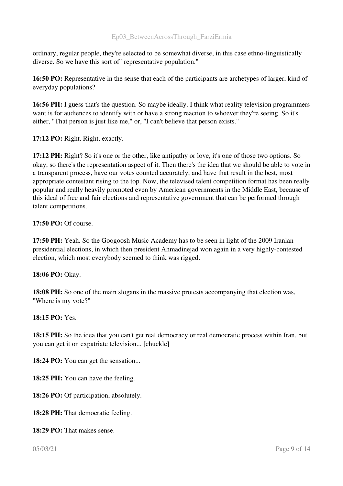ordinary, regular people, they're selected to be somewhat diverse, in this case ethno-linguistically diverse. So we have this sort of "representative population."

16:50 PO: Representative in the sense that each of the participants are archetypes of larger, kind of everyday populations?

16:56 PH: I guess that's the question. So maybe ideally. I think what reality television programmers want is for audiences to identify with or have a strong reaction to whoever they're seeing. So it's either, "That person is just like me," or, "I can't believe that person exists."

17:12 PO: Right. Right, exactly.

17:12 PH: Right? So it's one or the other, like antipathy or love, it's one of those two options. So okay, so there's the representation aspect of it. Then there's the idea that we should be able to vote in a transparent process, have our votes counted accurately, and have that result in the best, most appropriate contestant rising to the top. Now, the televised talent competition format has been really popular and really heavily promoted even by American governments in the Middle East, because of this ideal of free and fair elections and representative government that can be performed through talent competitions.

17:50 PO: Of course.

17:50 PH: Yeah. So the Googoosh Music Academy has to be seen in light of the 2009 Iranian presidential elections, in which then president Ahmadinejad won again in a very highly-contested election, which most everybody seemed to think was rigged.

#### 18:06 PO: Okay.

18:08 PH: So one of the main slogans in the massive protests accompanying that election was, "Where is my vote?"

#### 18:15 PO: Yes.

18:15 PH: So the idea that you can't get real democracy or real democratic process within Iran, but you can get it on expatriate television... [chuckle]

18:24 PO: You can get the sensation...

18:25 PH: You can have the feeling.

18:26 PO: Of participation, absolutely.

18:28 PH: That democratic feeling.

18:29 PO: That makes sense.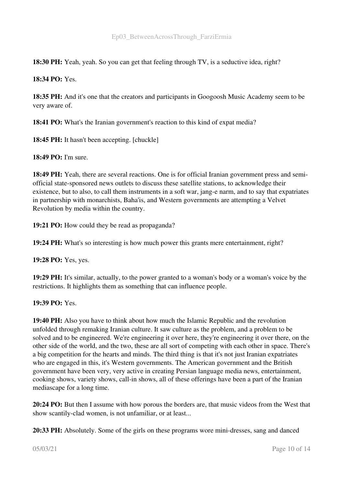18:30 PH: Yeah, yeah. So you can get that feeling through TV, is a seductive idea, right?

18:34 PO: Yes.

18:35 PH: And it's one that the creators and participants in Googoosh Music Academy seem to be very aware of.

18:41 PO: What's the Iranian government's reaction to this kind of expat media?

18:45 PH: It hasn't been accepting. [chuckle]

18:49 PO: I'm sure.

18:49 PH: Yeah, there are several reactions. One is for official Iranian government press and semiofficial statesponsored news outlets to discuss these satellite stations, to acknowledge their existence, but to also, to call them instruments in a soft war, jang-e narm, and to say that expatriates in partnership with monarchists, Baha'is, and Western governments are attempting a Velvet Revolution by media within the country.

19:21 PO: How could they be read as propaganda?

19:24 PH: What's so interesting is how much power this grants mere entertainment, right?

19:28 PO: Yes, yes.

19:29 PH: It's similar, actually, to the power granted to a woman's body or a woman's voice by the restrictions. It highlights them as something that can influence people.

19:39 PO: Yes.

19:40 PH: Also you have to think about how much the Islamic Republic and the revolution unfolded through remaking Iranian culture. It saw culture as the problem, and a problem to be solved and to be engineered. We're engineering it over here, they're engineering it over there, on the other side of the world, and the two, these are all sort of competing with each other in space. There's a big competition for the hearts and minds. The third thing is that it's not just Iranian expatriates who are engaged in this, it's Western governments. The American government and the British government have been very, very active in creating Persian language media news, entertainment, cooking shows, variety shows, call-in shows, all of these offerings have been a part of the Iranian mediascape for a long time.

20:24 PO: But then I assume with how porous the borders are, that music videos from the West that show scantily-clad women, is not unfamiliar, or at least...

20:33 PH: Absolutely. Some of the girls on these programs wore mini-dresses, sang and danced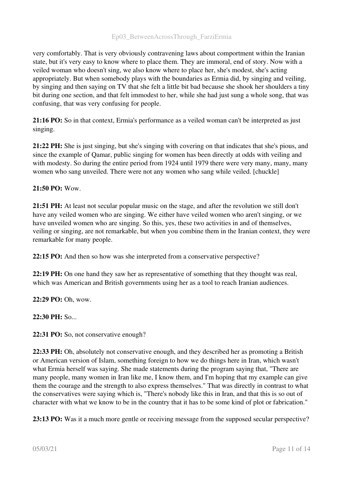# Ep03\_BetweenAcrossThrough\_FarziErmia

very comfortably. That is very obviously contravening laws about comportment within the Iranian state, but it's very easy to know where to place them. They are immoral, end of story. Now with a veiled woman who doesn't sing, we also know where to place her, she's modest, she's acting appropriately. But when somebody plays with the boundaries as Ermia did, by singing and veiling, by singing and then saying on TV that she felt a little bit bad because she shook her shoulders a tiny bit during one section, and that felt immodest to her, while she had just sung a whole song, that was confusing, that was very confusing for people.

21:16 PO: So in that context, Ermia's performance as a veiled woman can't be interpreted as just singing.

21:22 PH: She is just singing, but she's singing with covering on that indicates that she's pious, and since the example of Qamar, public singing for women has been directly at odds with veiling and with modesty. So during the entire period from 1924 until 1979 there were very many, many, many women who sang unveiled. There were not any women who sang while veiled. [chuckle]

#### 21:50 PO: Wow.

21:51 PH: At least not secular popular music on the stage, and after the revolution we still don't have any veiled women who are singing. We either have veiled women who aren't singing, or we have unveiled women who are singing. So this, yes, these two activities in and of themselves, veiling or singing, are not remarkable, but when you combine them in the Iranian context, they were remarkable for many people.

22:15 PO: And then so how was she interpreted from a conservative perspective?

22:19 PH: On one hand they saw her as representative of something that they thought was real, which was American and British governments using her as a tool to reach Iranian audiences.

22:29 PO: Oh, wow.

22:30 PH: So...

22:31 PO: So, not conservative enough?

22:33 PH: Oh, absolutely not conservative enough, and they described her as promoting a British or American version of Islam, something foreign to how we do things here in Iran, which wasn't what Ermia herself was saying. She made statements during the program saying that, "There are many people, many women in Iran like me, I know them, and I'm hoping that my example can give them the courage and the strength to also express themselves." That was directly in contrast to what the conservatives were saying which is, "There's nobody like this in Iran, and that this is so out of character with what we know to be in the country that it has to be some kind of plot or fabrication."

23:13 PO: Was it a much more gentle or receiving message from the supposed secular perspective?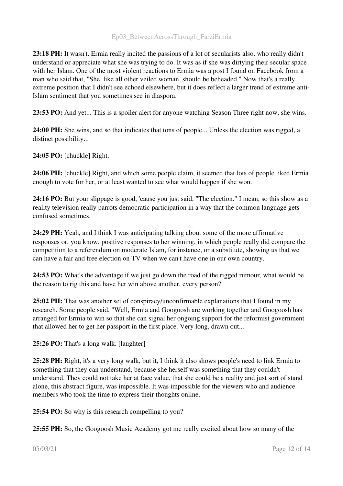23:18 PH: It wasn't. Ermia really incited the passions of a lot of secularists also, who really didn't understand or appreciate what she was trying to do. It was as if she was dirtying their secular space with her Islam. One of the most violent reactions to Ermia was a post I found on Facebook from a man who said that, "She, like all other veiled woman, should be beheaded." Now that's a really extreme position that I didn't see echoed elsewhere, but it does reflect a larger trend of extreme anti-Islam sentiment that you sometimes see in diaspora.

23:53 PO: And yet... This is a spoiler alert for anyone watching Season Three right now, she wins.

24:00 PH: She wins, and so that indicates that tons of people... Unless the election was rigged, a distinct possibility...

24:05 PO: [chuckle] Right.

24:06 PH: [chuckle] Right, and which some people claim, it seemed that lots of people liked Ermia enough to vote for her, or at least wanted to see what would happen if she won.

24:16 PO: But your slippage is good, 'cause you just said, "The election." I mean, so this show as a reality television really parrots democratic participation in a way that the common language gets confused sometimes.

24:29 PH: Yeah, and I think I was anticipating talking about some of the more affirmative responses or, you know, positive responses to her winning, in which people really did compare the competition to a referendum on moderate Islam, for instance, or a substitute, showing us that we can have a fair and free election on TV when we can't have one in our own country.

24:53 PO: What's the advantage if we just go down the road of the rigged rumour, what would be the reason to rig this and have her win above another, every person?

25:02 PH: That was another set of conspiracy/unconfirmable explanations that I found in my research. Some people said, "Well, Ermia and Googoosh are working together and Googoosh has arranged for Ermia to win so that she can signal her ongoing support for the reformist government that allowed her to get her passport in the first place. Very long, drawn out...

25:26 PO: That's a long walk. [laughter]

25:28 PH: Right, it's a very long walk, but it, I think it also shows people's need to link Ermia to something that they can understand, because she herself was something that they couldn't understand. They could not take her at face value, that she could be a reality and just sort of stand alone, this abstract figure, was impossible. It was impossible for the viewers who and audience members who took the time to express their thoughts online.

25:54 PO: So why is this research compelling to you?

25:55 PH: So, the Googoosh Music Academy got me really excited about how so many of the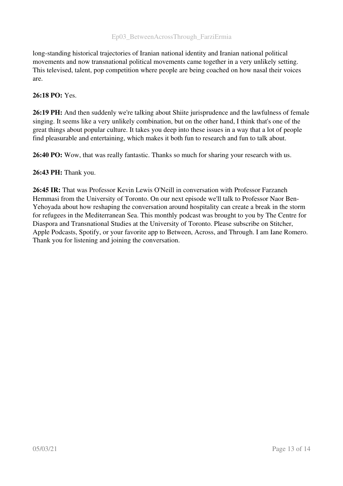long-standing historical trajectories of Iranian national identity and Iranian national political movements and now transnational political movements came together in a very unlikely setting. This televised, talent, pop competition where people are being coached on how nasal their voices are.

# 26:18 PO: Yes.

26:19 PH: And then suddenly we're talking about Shiite jurisprudence and the lawfulness of female singing. It seems like a very unlikely combination, but on the other hand, I think that's one of the great things about popular culture. It takes you deep into these issues in a way that a lot of people find pleasurable and entertaining, which makes it both fun to research and fun to talk about.

26:40 PO: Wow, that was really fantastic. Thanks so much for sharing your research with us.

26:43 PH: Thank you.

26:45 IR: That was Professor Kevin Lewis O'Neill in conversation with Professor Farzaneh Hemmasi from the University of Toronto. On our next episode we'll talk to Professor Naor Ben-Yehoyada about how reshaping the conversation around hospitality can create a break in the storm for refugees in the Mediterranean Sea. This monthly podcast was brought to you by The Centre for Diaspora and Transnational Studies at the University of Toronto. Please subscribe on Stitcher, Apple Podcasts, Spotify, or your favorite app to Between, Across, and Through. I am Iane Romero. Thank you for listening and joining the conversation.